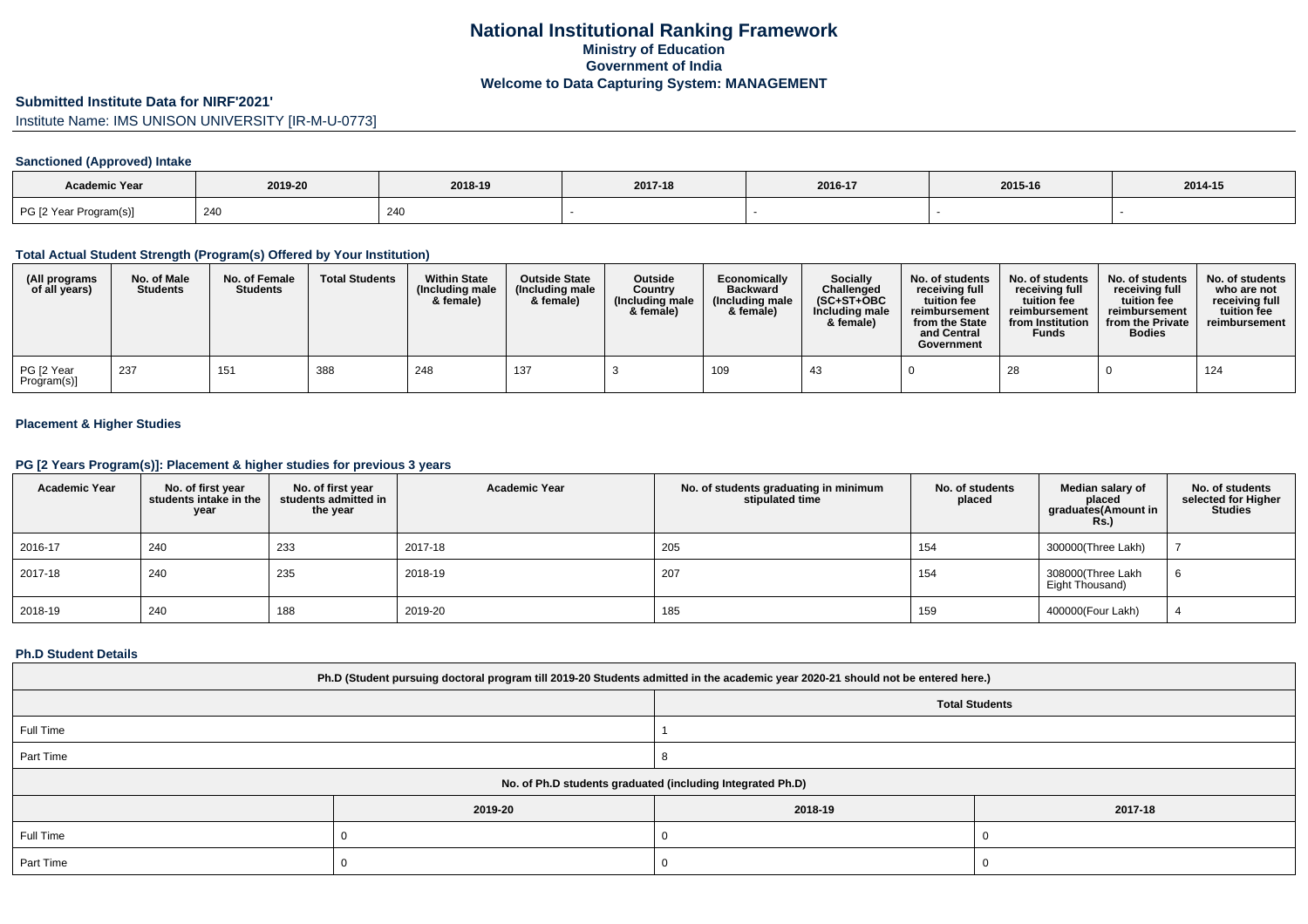### **Submitted Institute Data for NIRF'2021'**

Institute Name: IMS UNISON UNIVERSITY [IR-M-U-0773]

## **Sanctioned (Approved) Intake**

| Academic Year          | 2019-20 | 2018-19 | 2017-18 | 2016-17 | 2015-16 | 2014-15 |
|------------------------|---------|---------|---------|---------|---------|---------|
| PG [2 Year Program(s)] | 240     | 240     |         |         |         |         |

### **Total Actual Student Strength (Program(s) Offered by Your Institution)**

| (All programs<br>of all years) | No. of Male<br><b>Students</b> | No. of Female<br><b>Students</b> | <b>Total Students</b> | <b>Within State</b><br>(Including male<br>& female) | <b>Outside State</b><br>(Including male<br>& female) | <b>Outside</b><br>Country<br>(Including male<br>& female) | Economically<br><b>Backward</b><br>(Including male<br>& female) | <b>Socially</b><br>Challenged<br>$(SC+ST+OBC$<br>Including male<br>& female) | No. of students<br>receiving full<br>tuition fee<br>reimbursement<br>from the State<br>and Central<br>Government | No. of students<br>receiving full<br>tuition fee<br>reimbursement<br>from Institution<br><b>Funds</b> | No. of students<br>receiving full<br>tuition fee<br>reimbursement<br>from the Private<br><b>Bodies</b> | No. of students<br>who are not<br>receiving full<br>tuition fee<br>reimbursement |
|--------------------------------|--------------------------------|----------------------------------|-----------------------|-----------------------------------------------------|------------------------------------------------------|-----------------------------------------------------------|-----------------------------------------------------------------|------------------------------------------------------------------------------|------------------------------------------------------------------------------------------------------------------|-------------------------------------------------------------------------------------------------------|--------------------------------------------------------------------------------------------------------|----------------------------------------------------------------------------------|
| PG [2 Year<br>Program(s)]      | 237                            | 15'                              | 388                   | 248                                                 | 137                                                  |                                                           | 109                                                             | -43                                                                          |                                                                                                                  | 28                                                                                                    |                                                                                                        | 124                                                                              |

## **Placement & Higher Studies**

#### **PG [2 Years Program(s)]: Placement & higher studies for previous 3 years**

| <b>Academic Year</b> | No. of first year<br>students intake in the<br>year | No. of first year<br>students admitted in<br>the year | <b>Academic Year</b> | No. of students graduating in minimum<br>stipulated time | No. of students<br>placed | Median salary of<br>placed<br>graduates(Amount in<br><b>Rs.)</b> | No. of students<br>selected for Higher<br><b>Studies</b> |
|----------------------|-----------------------------------------------------|-------------------------------------------------------|----------------------|----------------------------------------------------------|---------------------------|------------------------------------------------------------------|----------------------------------------------------------|
| 2016-17              | 240                                                 | 233                                                   | 2017-18              | 205                                                      | 154                       | 300000(Three Lakh)                                               |                                                          |
| 2017-18              | 240                                                 | 235                                                   | 2018-19              | 207                                                      | 154                       | 308000(Three Lakh<br>Eight Thousand)                             | 6                                                        |
| 2018-19              | 240                                                 | 188                                                   | 2019-20              | 185                                                      | 159                       | 400000(Four Lakh)                                                |                                                          |

#### **Ph.D Student Details**

| Ph.D (Student pursuing doctoral program till 2019-20 Students admitted in the academic year 2020-21 should not be entered here.) |         |                                                            |         |  |  |  |  |  |
|----------------------------------------------------------------------------------------------------------------------------------|---------|------------------------------------------------------------|---------|--|--|--|--|--|
| <b>Total Students</b>                                                                                                            |         |                                                            |         |  |  |  |  |  |
| Full Time                                                                                                                        |         |                                                            |         |  |  |  |  |  |
| Part Time                                                                                                                        |         |                                                            |         |  |  |  |  |  |
|                                                                                                                                  |         | No. of Ph.D students graduated (including Integrated Ph.D) |         |  |  |  |  |  |
|                                                                                                                                  | 2019-20 | 2018-19                                                    | 2017-18 |  |  |  |  |  |
| Full Time                                                                                                                        |         |                                                            |         |  |  |  |  |  |
| Part Time                                                                                                                        |         |                                                            |         |  |  |  |  |  |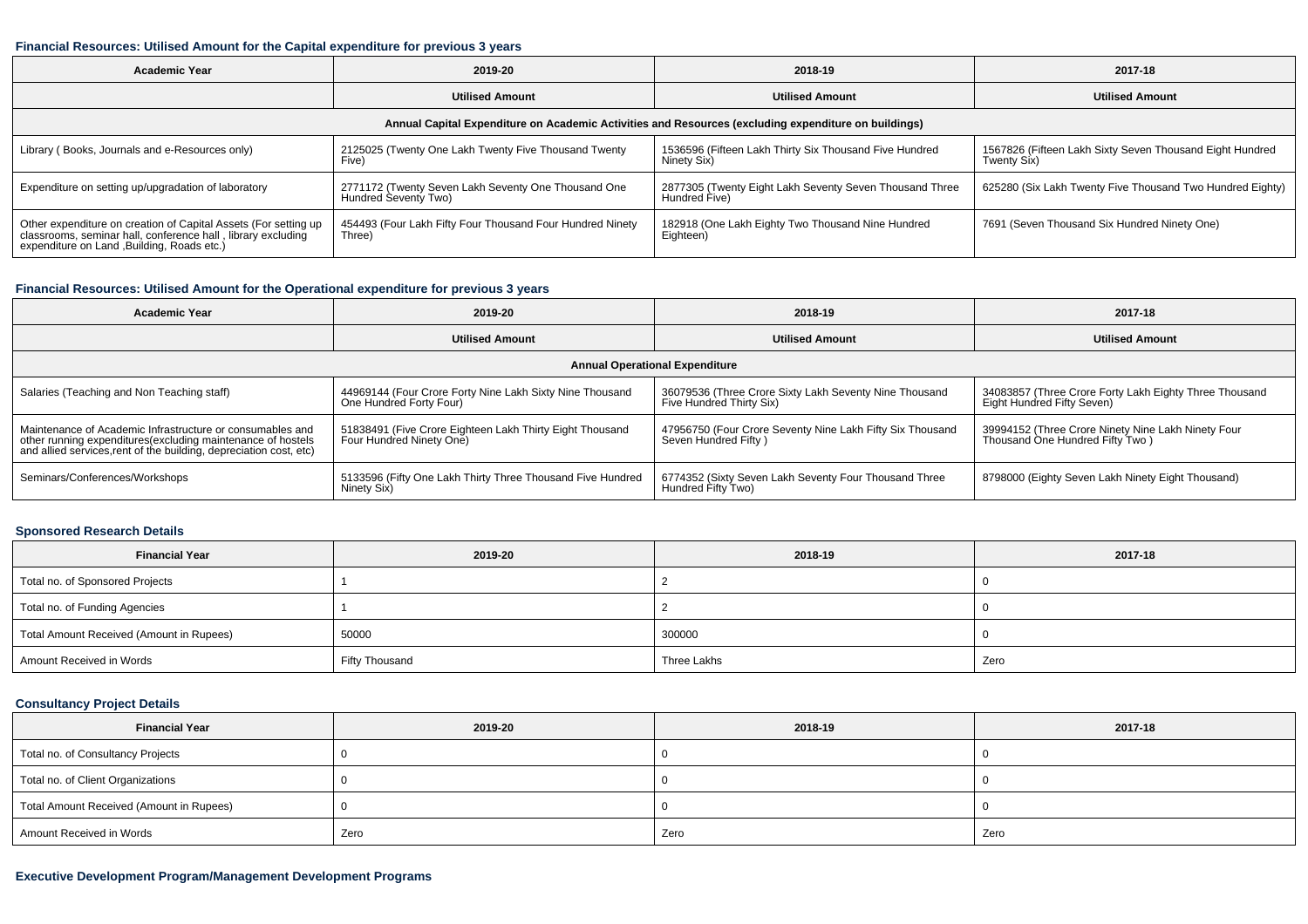#### **Financial Resources: Utilised Amount for the Capital expenditure for previous 3 years**

| Academic Year                                                                                                                                                                  | 2019-20                                                                     | 2018-19                                                                  | 2017-18                                                                 |  |  |  |  |  |  |
|--------------------------------------------------------------------------------------------------------------------------------------------------------------------------------|-----------------------------------------------------------------------------|--------------------------------------------------------------------------|-------------------------------------------------------------------------|--|--|--|--|--|--|
|                                                                                                                                                                                | <b>Utilised Amount</b>                                                      | <b>Utilised Amount</b>                                                   | <b>Utilised Amount</b>                                                  |  |  |  |  |  |  |
| Annual Capital Expenditure on Academic Activities and Resources (excluding expenditure on buildings)                                                                           |                                                                             |                                                                          |                                                                         |  |  |  |  |  |  |
| Library (Books, Journals and e-Resources only)                                                                                                                                 | 2125025 (Twenty One Lakh Twenty Five Thousand Twenty<br>Five)               | 1536596 (Fifteen Lakh Thirty Six Thousand Five Hundred<br>Ninety Six)    | 1567826 (Fifteen Lakh Sixty Seven Thousand Eight Hundred<br>Twenty Six) |  |  |  |  |  |  |
| Expenditure on setting up/upgradation of laboratory                                                                                                                            | 2771172 (Twenty Seven Lakh Seventy One Thousand One<br>Hundred Seventy Two) | 2877305 (Twenty Eight Lakh Seventy Seven Thousand Three<br>Hundred Five) | 625280 (Six Lakh Twenty Five Thousand Two Hundred Eighty)               |  |  |  |  |  |  |
| Other expenditure on creation of Capital Assets (For setting up<br>classrooms, seminar hall, conference hall , library excluding<br>expenditure on Land ,Building, Roads etc.) | 454493 (Four Lakh Fifty Four Thousand Four Hundred Ninety<br>Three)         | 182918 (One Lakh Eighty Two Thousand Nine Hundred<br>Eighteen)           | 7691 (Seven Thousand Six Hundred Ninety One)                            |  |  |  |  |  |  |

### **Financial Resources: Utilised Amount for the Operational expenditure for previous 3 years**

| <b>Academic Year</b>                                                                                                                                                                           | 2019-20                                                                              | 2018-19                                                                            | 2017-18                                                                               |  |  |  |  |  |  |
|------------------------------------------------------------------------------------------------------------------------------------------------------------------------------------------------|--------------------------------------------------------------------------------------|------------------------------------------------------------------------------------|---------------------------------------------------------------------------------------|--|--|--|--|--|--|
| <b>Utilised Amount</b>                                                                                                                                                                         |                                                                                      | <b>Utilised Amount</b>                                                             | <b>Utilised Amount</b>                                                                |  |  |  |  |  |  |
| <b>Annual Operational Expenditure</b>                                                                                                                                                          |                                                                                      |                                                                                    |                                                                                       |  |  |  |  |  |  |
| Salaries (Teaching and Non Teaching staff)                                                                                                                                                     | 44969144 (Four Crore Forty Nine Lakh Sixty Nine Thousand<br>One Hundred Forty Four)  | 36079536 (Three Crore Sixty Lakh Seventy Nine Thousand<br>Five Hundred Thirty Six) | 34083857 (Three Crore Forty Lakh Eighty Three Thousand<br>Eight Hundred Fifty Seven)  |  |  |  |  |  |  |
| Maintenance of Academic Infrastructure or consumables and<br>other running expenditures(excluding maintenance of hostels<br>and allied services, rent of the building, depreciation cost, etc) | 51838491 (Five Crore Eighteen Lakh Thirty Eight Thousand<br>Four Hundred Ninety One) | 47956750 (Four Crore Seventy Nine Lakh Fifty Six Thousand<br>Seven Hundred Fifty)  | 39994152 (Three Crore Ninety Nine Lakh Ninety Four<br>Thousand One Hundred Fifty Two) |  |  |  |  |  |  |
| Seminars/Conferences/Workshops                                                                                                                                                                 | 5133596 (Fifty One Lakh Thirty Three Thousand Five Hundred<br>Ninety Six)            | 6774352 (Sixty Seven Lakh Seventy Four Thousand Three<br>Hundred Fifty Two)        | 8798000 (Eighty Seven Lakh Ninety Eight Thousand)                                     |  |  |  |  |  |  |

### **Sponsored Research Details**

| <b>Financial Year</b>                    | 2019-20               | 2018-19     | 2017-18 |
|------------------------------------------|-----------------------|-------------|---------|
| Total no. of Sponsored Projects          |                       |             |         |
| Total no. of Funding Agencies            |                       |             |         |
| Total Amount Received (Amount in Rupees) | 50000                 | 300000      |         |
| Amount Received in Words                 | <b>Fifty Thousand</b> | Three Lakhs | Zero    |

# **Consultancy Project Details**

| <b>Financial Year</b>                    | 2019-20 | 2018-19 | 2017-18 |
|------------------------------------------|---------|---------|---------|
| Total no. of Consultancy Projects        |         |         |         |
| Total no. of Client Organizations        |         |         |         |
| Total Amount Received (Amount in Rupees) |         |         |         |
| Amount Received in Words                 | Zero    | Zero    | Zero    |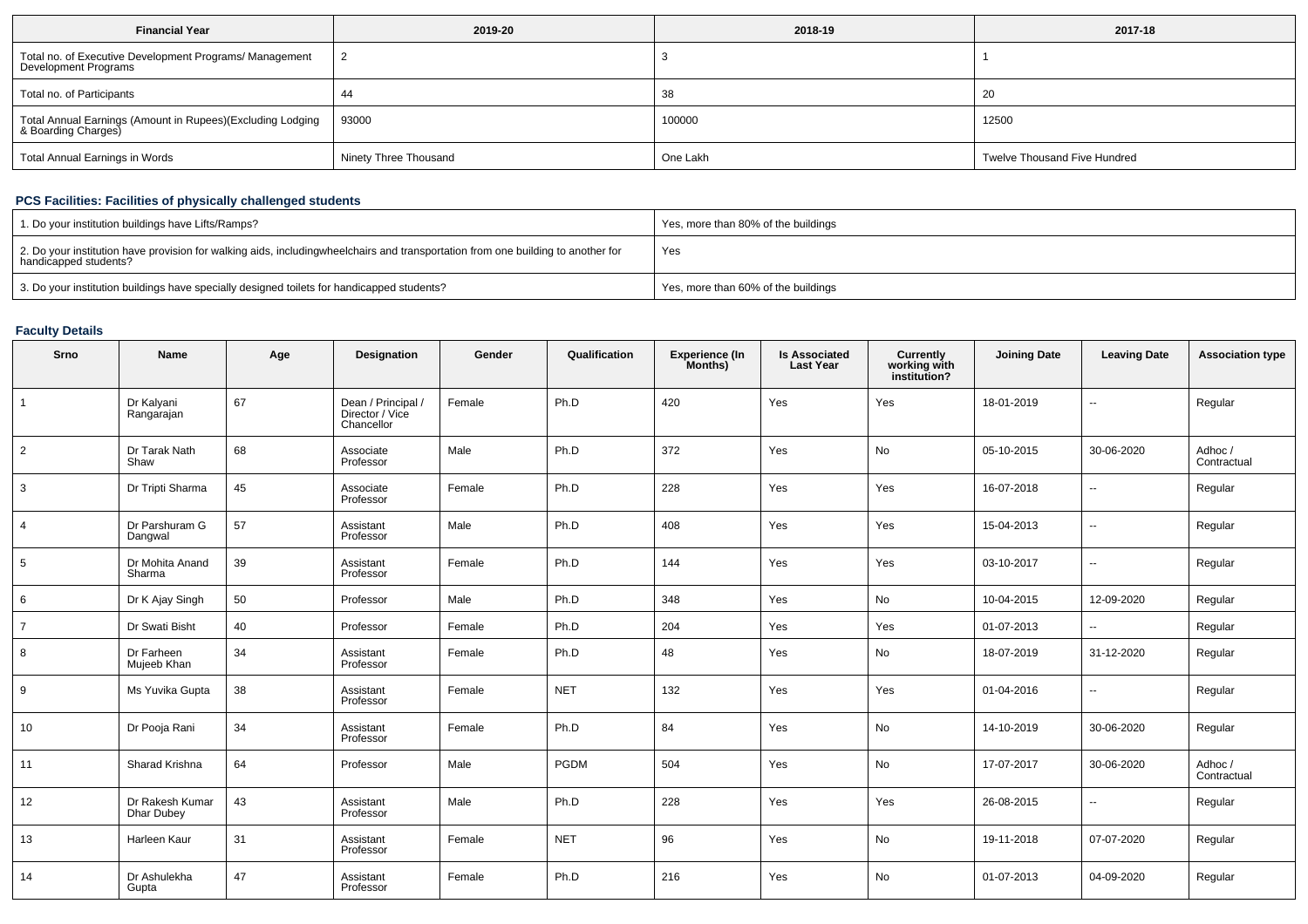| <b>Financial Year</b>                                                             | 2019-20               | 2018-19  | 2017-18                      |
|-----------------------------------------------------------------------------------|-----------------------|----------|------------------------------|
| Total no. of Executive Development Programs/ Management<br>Development Programs   |                       |          |                              |
| Total no. of Participants                                                         | 44                    | 38       | 20                           |
| Total Annual Earnings (Amount in Rupees)(Excluding Lodging<br>& Boarding Charges) | 93000                 | 100000   | 12500                        |
| Total Annual Earnings in Words                                                    | Ninety Three Thousand | One Lakh | Twelve Thousand Five Hundred |

## **PCS Facilities: Facilities of physically challenged students**

| 1. Do your institution buildings have Lifts/Ramps?                                                                                                        | Yes, more than 80% of the buildings |
|-----------------------------------------------------------------------------------------------------------------------------------------------------------|-------------------------------------|
| 2. Do your institution have provision for walking aids, includingwheelchairs and transportation from one building to another for<br>handicapped students? | Yes                                 |
| 3. Do your institution buildings have specially designed toilets for handicapped students?                                                                | Yes, more than 60% of the buildings |

# **Faculty Details**

| Srno            | Name                                 | Age | Designation                                         | Gender | Qualification | <b>Experience (In</b><br>Months) | <b>Is Associated</b><br><b>Last Year</b> | Currently<br>working with<br>institution? | <b>Joining Date</b> | <b>Leaving Date</b>      | <b>Association type</b> |
|-----------------|--------------------------------------|-----|-----------------------------------------------------|--------|---------------|----------------------------------|------------------------------------------|-------------------------------------------|---------------------|--------------------------|-------------------------|
| $\overline{1}$  | Dr Kalyani<br>Rangarajan             | 67  | Dean / Principal /<br>Director / Vice<br>Chancellor | Female | Ph.D          | 420                              | Yes                                      | Yes                                       | 18-01-2019          | $\overline{\phantom{a}}$ | Regular                 |
| $\overline{2}$  | Dr Tarak Nath<br>Shaw                | 68  | Associate<br>Professor                              | Male   | Ph.D          | 372                              | Yes                                      | No                                        | 05-10-2015          | 30-06-2020               | Adhoc/<br>Contractual   |
| 3               | Dr Tripti Sharma                     | 45  | Associate<br>Professor                              | Female | Ph.D          | 228                              | Yes                                      | Yes                                       | 16-07-2018          | $\overline{\phantom{a}}$ | Regular                 |
| $\overline{4}$  | Dr Parshuram G<br>Dangwal            | 57  | Assistant<br>Professor                              | Male   | Ph.D          | 408                              | Yes                                      | Yes                                       | 15-04-2013          | $\overline{\phantom{a}}$ | Regular                 |
| $5\overline{5}$ | Dr Mohita Anand<br>Sharma            | 39  | Assistant<br>Professor                              | Female | Ph.D          | 144                              | Yes                                      | Yes                                       | 03-10-2017          | $\overline{\phantom{a}}$ | Regular                 |
| 6               | Dr K Ajay Singh                      | 50  | Professor                                           | Male   | Ph.D          | 348                              | Yes                                      | No                                        | 10-04-2015          | 12-09-2020               | Regular                 |
| $\overline{7}$  | Dr Swati Bisht                       | 40  | Professor                                           | Female | Ph.D          | 204                              | Yes                                      | Yes                                       | 01-07-2013          | $\overline{\phantom{a}}$ | Regular                 |
| 8               | Dr Farheen<br>Mujeeb Khan            | 34  | Assistant<br>Professor                              | Female | Ph.D          | 48                               | Yes                                      | No                                        | 18-07-2019          | 31-12-2020               | Regular                 |
| 9               | Ms Yuvika Gupta                      | 38  | Assistant<br>Professor                              | Female | <b>NET</b>    | 132                              | Yes                                      | Yes                                       | 01-04-2016          | $\overline{\phantom{a}}$ | Regular                 |
| 10              | Dr Pooja Rani                        | 34  | Assistant<br>Professor                              | Female | Ph.D          | 84                               | Yes                                      | No                                        | 14-10-2019          | 30-06-2020               | Regular                 |
| 11              | Sharad Krishna                       | 64  | Professor                                           | Male   | PGDM          | 504                              | Yes                                      | No                                        | 17-07-2017          | 30-06-2020               | Adhoc /<br>Contractual  |
| 12              | Dr Rakesh Kumar<br><b>Dhar Dubey</b> | 43  | Assistant<br>Professor                              | Male   | Ph.D          | 228                              | Yes                                      | Yes                                       | 26-08-2015          | $\overline{\phantom{a}}$ | Regular                 |
| 13              | Harleen Kaur                         | 31  | Assistant<br>Professor                              | Female | <b>NET</b>    | 96                               | Yes                                      | No                                        | 19-11-2018          | 07-07-2020               | Regular                 |
| 14              | Dr Ashulekha<br>Gupta                | 47  | Assistant<br>Professor                              | Female | Ph.D          | 216                              | Yes                                      | No                                        | 01-07-2013          | 04-09-2020               | Regular                 |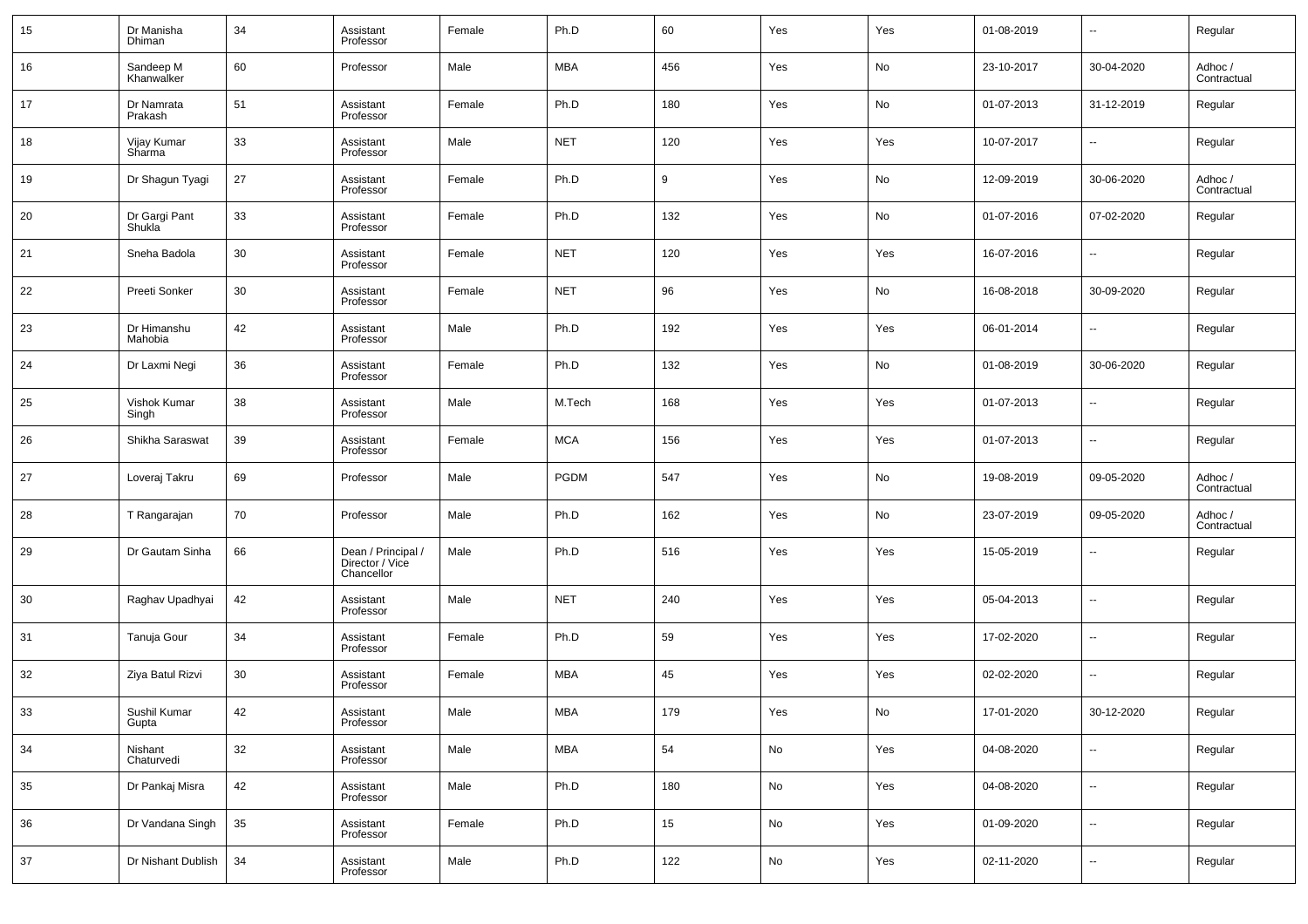| 15 | Dr Manisha<br>Dhiman    | 34 | Assistant<br>Professor                              | Female | Ph.D        | 60  | Yes | Yes | 01-08-2019 | $\sim$                   | Regular                |
|----|-------------------------|----|-----------------------------------------------------|--------|-------------|-----|-----|-----|------------|--------------------------|------------------------|
| 16 | Sandeep M<br>Khanwalker | 60 | Professor                                           | Male   | <b>MBA</b>  | 456 | Yes | No  | 23-10-2017 | 30-04-2020               | Adhoc/<br>Contractual  |
| 17 | Dr Namrata<br>Prakash   | 51 | Assistant<br>Professor                              | Female | Ph.D        | 180 | Yes | No  | 01-07-2013 | 31-12-2019               | Regular                |
| 18 | Vijay Kumar<br>Sharma   | 33 | Assistant<br>Professor                              | Male   | <b>NET</b>  | 120 | Yes | Yes | 10-07-2017 | $\overline{\phantom{a}}$ | Regular                |
| 19 | Dr Shagun Tyagi         | 27 | Assistant<br>Professor                              | Female | Ph.D        | 9   | Yes | No  | 12-09-2019 | 30-06-2020               | Adhoc/<br>Contractual  |
| 20 | Dr Gargi Pant<br>Shukla | 33 | Assistant<br>Professor                              | Female | Ph.D        | 132 | Yes | No  | 01-07-2016 | 07-02-2020               | Regular                |
| 21 | Sneha Badola            | 30 | Assistant<br>Professor                              | Female | <b>NET</b>  | 120 | Yes | Yes | 16-07-2016 | $\overline{\phantom{a}}$ | Regular                |
| 22 | Preeti Sonker           | 30 | Assistant<br>Professor                              | Female | <b>NET</b>  | 96  | Yes | No  | 16-08-2018 | 30-09-2020               | Regular                |
| 23 | Dr Himanshu<br>Mahobia  | 42 | Assistant<br>Professor                              | Male   | Ph.D        | 192 | Yes | Yes | 06-01-2014 | $\sim$                   | Regular                |
| 24 | Dr Laxmi Negi           | 36 | Assistant<br>Professor                              | Female | Ph.D        | 132 | Yes | No  | 01-08-2019 | 30-06-2020               | Regular                |
| 25 | Vishok Kumar<br>Singh   | 38 | Assistant<br>Professor                              | Male   | M.Tech      | 168 | Yes | Yes | 01-07-2013 | $\overline{\phantom{a}}$ | Regular                |
| 26 | Shikha Saraswat         | 39 | Assistant<br>Professor                              | Female | <b>MCA</b>  | 156 | Yes | Yes | 01-07-2013 | $\sim$                   | Regular                |
| 27 | Loveraj Takru           | 69 | Professor                                           | Male   | <b>PGDM</b> | 547 | Yes | No  | 19-08-2019 | 09-05-2020               | Adhoc /<br>Contractual |
| 28 | T Rangarajan            | 70 | Professor                                           | Male   | Ph.D        | 162 | Yes | No  | 23-07-2019 | 09-05-2020               | Adhoc /<br>Contractual |
| 29 | Dr Gautam Sinha         | 66 | Dean / Principal /<br>Director / Vice<br>Chancellor | Male   | Ph.D        | 516 | Yes | Yes | 15-05-2019 | $\sim$                   | Regular                |
| 30 | Raghav Upadhyai         | 42 | Assistant<br>Professor                              | Male   | <b>NET</b>  | 240 | Yes | Yes | 05-04-2013 | $\overline{\phantom{a}}$ | Regular                |
| 31 | Tanuja Gour             | 34 | Assistant<br>Professor                              | Female | Ph.D        | 59  | Yes | Yes | 17-02-2020 | $\sim$                   | Regular                |
| 32 | Ziya Batul Rizvi        | 30 | Assistant<br>Professor                              | Female | MBA         | 45  | Yes | Yes | 02-02-2020 | $\overline{\phantom{a}}$ | Regular                |
| 33 | Sushil Kumar<br>Gupta   | 42 | Assistant<br>Professor                              | Male   | <b>MBA</b>  | 179 | Yes | No  | 17-01-2020 | 30-12-2020               | Regular                |
| 34 | Nishant<br>Chaturvedi   | 32 | Assistant<br>Professor                              | Male   | <b>MBA</b>  | 54  | No  | Yes | 04-08-2020 | $\overline{\phantom{a}}$ | Regular                |
| 35 | Dr Pankaj Misra         | 42 | Assistant<br>Professor                              | Male   | Ph.D        | 180 | No  | Yes | 04-08-2020 | $\overline{\phantom{a}}$ | Regular                |
| 36 | Dr Vandana Singh        | 35 | Assistant<br>Professor                              | Female | Ph.D        | 15  | No  | Yes | 01-09-2020 | $\overline{\phantom{a}}$ | Regular                |
| 37 | Dr Nishant Dublish      | 34 | Assistant<br>Professor                              | Male   | Ph.D        | 122 | No  | Yes | 02-11-2020 | $\overline{\phantom{a}}$ | Regular                |